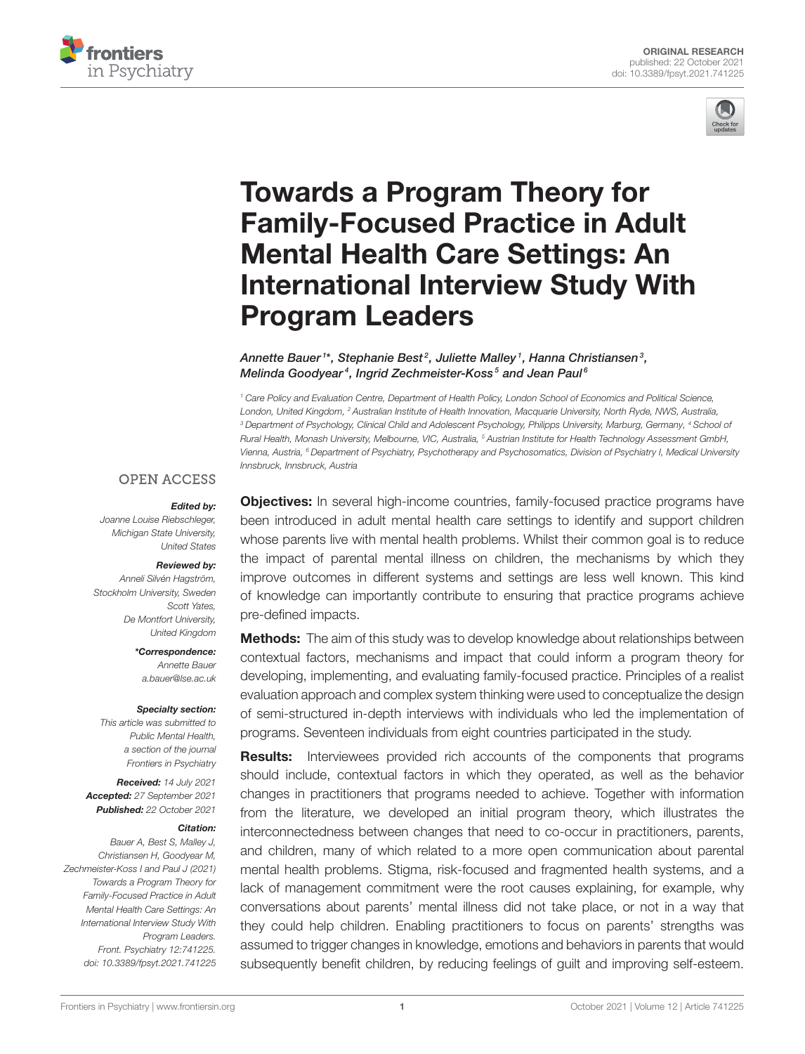



# Towards a Program Theory for Family-Focused Practice in Adult Mental Health Care Settings: An [International Interview Study With](https://www.frontiersin.org/articles/10.3389/fpsyt.2021.741225/full) Program Leaders

Annette Bauer <sup>1\*</sup>, Stephanie Best<sup>2</sup>, Juliette Malley <sup>1</sup>, Hanna Christiansen <sup>3</sup>, Melinda Goodyear<sup>4</sup>, Ingrid Zechmeister-Koss<sup>5</sup> and Jean Paul<sup>6</sup>

<sup>1</sup> Care Policy and Evaluation Centre, Department of Health Policy, London School of Economics and Political Science, London, United Kingdom, <sup>2</sup> Australian Institute of Health Innovation, Macquarie University, North Ryde, NWS, Australia, <sup>3</sup> Department of Psychology, Clinical Child and Adolescent Psychology, Philipps University, Marburg, Germany, <sup>4</sup> School of Rural Health, Monash University, Melbourne, VIC, Australia, <sup>5</sup> Austrian Institute for Health Technology Assessment GmbH, Vienna, Austria, <sup>6</sup> Department of Psychiatry, Psychotherapy and Psychosomatics, Division of Psychiatry I, Medical University Innsbruck, Innsbruck, Austria

#### **OPEN ACCESS**

#### Edited by:

Joanne Louise Riebschleger, Michigan State University, United States

## Reviewed by:

Anneli Silvén Hagström, Stockholm University, Sweden Scott Yates, De Montfort University, United Kingdom

> \*Correspondence: Annette Bauer [a.bauer@lse.ac.uk](mailto:a.bauer@lse.ac.uk)

#### Specialty section:

This article was submitted to Public Mental Health, a section of the journal Frontiers in Psychiatry

Received: 14 July 2021 Accepted: 27 September 2021 Published: 22 October 2021

#### Citation:

Bauer A, Best S, Malley J, Christiansen H, Goodyear M, Zechmeister-Koss I and Paul J (2021) Towards a Program Theory for Family-Focused Practice in Adult Mental Health Care Settings: An International Interview Study With Program Leaders. Front. Psychiatry 12:741225. doi: [10.3389/fpsyt.2021.741225](https://doi.org/10.3389/fpsyt.2021.741225)

**Objectives:** In several high-income countries, family-focused practice programs have been introduced in adult mental health care settings to identify and support children whose parents live with mental health problems. Whilst their common goal is to reduce the impact of parental mental illness on children, the mechanisms by which they improve outcomes in different systems and settings are less well known. This kind of knowledge can importantly contribute to ensuring that practice programs achieve pre-defined impacts.

**Methods:** The aim of this study was to develop knowledge about relationships between contextual factors, mechanisms and impact that could inform a program theory for developing, implementing, and evaluating family-focused practice. Principles of a realist evaluation approach and complex system thinking were used to conceptualize the design of semi-structured in-depth interviews with individuals who led the implementation of programs. Seventeen individuals from eight countries participated in the study.

**Results:** Interviewees provided rich accounts of the components that programs should include, contextual factors in which they operated, as well as the behavior changes in practitioners that programs needed to achieve. Together with information from the literature, we developed an initial program theory, which illustrates the interconnectedness between changes that need to co-occur in practitioners, parents, and children, many of which related to a more open communication about parental mental health problems. Stigma, risk-focused and fragmented health systems, and a lack of management commitment were the root causes explaining, for example, why conversations about parents' mental illness did not take place, or not in a way that they could help children. Enabling practitioners to focus on parents' strengths was assumed to trigger changes in knowledge, emotions and behaviors in parents that would subsequently benefit children, by reducing feelings of guilt and improving self-esteem.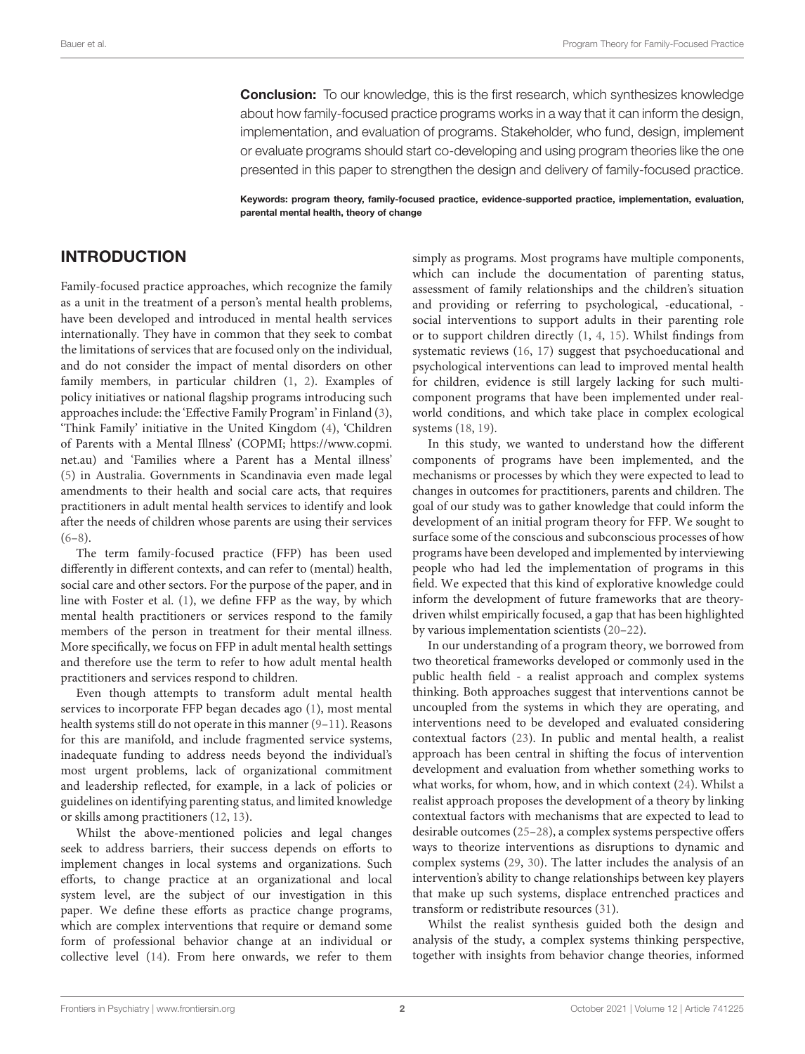**Conclusion:** To our knowledge, this is the first research, which synthesizes knowledge about how family-focused practice programs works in a way that it can inform the design, implementation, and evaluation of programs. Stakeholder, who fund, design, implement or evaluate programs should start co-developing and using program theories like the one presented in this paper to strengthen the design and delivery of family-focused practice.

Keywords: program theory, family-focused practice, evidence-supported practice, implementation, evaluation, parental mental health, theory of change

## INTRODUCTION

Family-focused practice approaches, which recognize the family as a unit in the treatment of a person's mental health problems, have been developed and introduced in mental health services internationally. They have in common that they seek to combat the limitations of services that are focused only on the individual, and do not consider the impact of mental disorders on other family members, in particular children [\(1,](#page-10-0) [2\)](#page-10-1). Examples of policy initiatives or national flagship programs introducing such approaches include: the 'Effective Family Program' in Finland [\(3\)](#page-10-2), 'Think Family' initiative in the United Kingdom [\(4\)](#page-10-3), 'Children of Parents with a Mental Illness' (COPMI; [https://www.copmi.](https://www.copmi.net.au) [net.au\)](https://www.copmi.net.au) and 'Families where a Parent has a Mental illness' [\(5\)](#page-10-4) in Australia. Governments in Scandinavia even made legal amendments to their health and social care acts, that requires practitioners in adult mental health services to identify and look after the needs of children whose parents are using their services  $(6-8)$  $(6-8)$ .

The term family-focused practice (FFP) has been used differently in different contexts, and can refer to (mental) health, social care and other sectors. For the purpose of the paper, and in line with Foster et al. [\(1\)](#page-10-0), we define FFP as the way, by which mental health practitioners or services respond to the family members of the person in treatment for their mental illness. More specifically, we focus on FFP in adult mental health settings and therefore use the term to refer to how adult mental health practitioners and services respond to children.

Even though attempts to transform adult mental health services to incorporate FFP began decades ago [\(1\)](#page-10-0), most mental health systems still do not operate in this manner [\(9–](#page-10-7)[11\)](#page-10-8). Reasons for this are manifold, and include fragmented service systems, inadequate funding to address needs beyond the individual's most urgent problems, lack of organizational commitment and leadership reflected, for example, in a lack of policies or guidelines on identifying parenting status, and limited knowledge or skills among practitioners [\(12,](#page-10-9) [13\)](#page-10-10).

Whilst the above-mentioned policies and legal changes seek to address barriers, their success depends on efforts to implement changes in local systems and organizations. Such efforts, to change practice at an organizational and local system level, are the subject of our investigation in this paper. We define these efforts as practice change programs, which are complex interventions that require or demand some form of professional behavior change at an individual or collective level [\(14\)](#page-10-11). From here onwards, we refer to them simply as programs. Most programs have multiple components, which can include the documentation of parenting status, assessment of family relationships and the children's situation and providing or referring to psychological, -educational, social interventions to support adults in their parenting role or to support children directly [\(1,](#page-10-0) [4,](#page-10-3) [15\)](#page-10-12). Whilst findings from systematic reviews [\(16,](#page-10-13) [17\)](#page-10-14) suggest that psychoeducational and psychological interventions can lead to improved mental health for children, evidence is still largely lacking for such multicomponent programs that have been implemented under realworld conditions, and which take place in complex ecological systems [\(18,](#page-10-15) [19\)](#page-10-16).

In this study, we wanted to understand how the different components of programs have been implemented, and the mechanisms or processes by which they were expected to lead to changes in outcomes for practitioners, parents and children. The goal of our study was to gather knowledge that could inform the development of an initial program theory for FFP. We sought to surface some of the conscious and subconscious processes of how programs have been developed and implemented by interviewing people who had led the implementation of programs in this field. We expected that this kind of explorative knowledge could inform the development of future frameworks that are theorydriven whilst empirically focused, a gap that has been highlighted by various implementation scientists [\(20–](#page-10-17)[22\)](#page-10-18).

In our understanding of a program theory, we borrowed from two theoretical frameworks developed or commonly used in the public health field - a realist approach and complex systems thinking. Both approaches suggest that interventions cannot be uncoupled from the systems in which they are operating, and interventions need to be developed and evaluated considering contextual factors [\(23\)](#page-10-19). In public and mental health, a realist approach has been central in shifting the focus of intervention development and evaluation from whether something works to what works, for whom, how, and in which context [\(24\)](#page-10-20). Whilst a realist approach proposes the development of a theory by linking contextual factors with mechanisms that are expected to lead to desirable outcomes [\(25–](#page-10-21)[28\)](#page-10-22), a complex systems perspective offers ways to theorize interventions as disruptions to dynamic and complex systems [\(29,](#page-10-23) [30\)](#page-10-24). The latter includes the analysis of an intervention's ability to change relationships between key players that make up such systems, displace entrenched practices and transform or redistribute resources [\(31\)](#page-10-25).

Whilst the realist synthesis guided both the design and analysis of the study, a complex systems thinking perspective, together with insights from behavior change theories, informed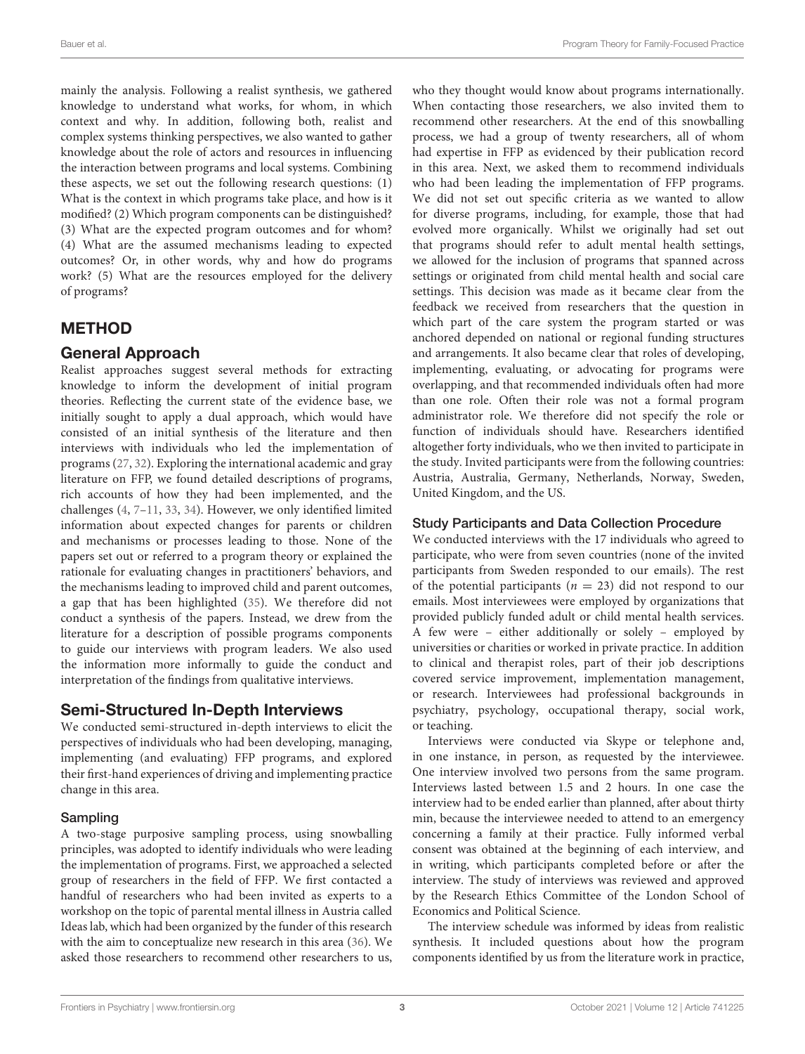mainly the analysis. Following a realist synthesis, we gathered knowledge to understand what works, for whom, in which context and why. In addition, following both, realist and complex systems thinking perspectives, we also wanted to gather knowledge about the role of actors and resources in influencing the interaction between programs and local systems. Combining these aspects, we set out the following research questions: (1) What is the context in which programs take place, and how is it modified? (2) Which program components can be distinguished? (3) What are the expected program outcomes and for whom? (4) What are the assumed mechanisms leading to expected outcomes? Or, in other words, why and how do programs work? (5) What are the resources employed for the delivery of programs?

# **METHOD**

## General Approach

Realist approaches suggest several methods for extracting knowledge to inform the development of initial program theories. Reflecting the current state of the evidence base, we initially sought to apply a dual approach, which would have consisted of an initial synthesis of the literature and then interviews with individuals who led the implementation of programs [\(27,](#page-10-26) [32\)](#page-10-27). Exploring the international academic and gray literature on FFP, we found detailed descriptions of programs, rich accounts of how they had been implemented, and the challenges [\(4,](#page-10-3) [7–](#page-10-28)[11,](#page-10-8) [33,](#page-10-29) [34\)](#page-10-30). However, we only identified limited information about expected changes for parents or children and mechanisms or processes leading to those. None of the papers set out or referred to a program theory or explained the rationale for evaluating changes in practitioners' behaviors, and the mechanisms leading to improved child and parent outcomes, a gap that has been highlighted [\(35\)](#page-10-31). We therefore did not conduct a synthesis of the papers. Instead, we drew from the literature for a description of possible programs components to guide our interviews with program leaders. We also used the information more informally to guide the conduct and interpretation of the findings from qualitative interviews.

## Semi-Structured In-Depth Interviews

We conducted semi-structured in-depth interviews to elicit the perspectives of individuals who had been developing, managing, implementing (and evaluating) FFP programs, and explored their first-hand experiences of driving and implementing practice change in this area.

## Sampling

A two-stage purposive sampling process, using snowballing principles, was adopted to identify individuals who were leading the implementation of programs. First, we approached a selected group of researchers in the field of FFP. We first contacted a handful of researchers who had been invited as experts to a workshop on the topic of parental mental illness in Austria called Ideas lab, which had been organized by the funder of this research with the aim to conceptualize new research in this area [\(36\)](#page-10-32). We asked those researchers to recommend other researchers to us, who they thought would know about programs internationally. When contacting those researchers, we also invited them to recommend other researchers. At the end of this snowballing process, we had a group of twenty researchers, all of whom had expertise in FFP as evidenced by their publication record in this area. Next, we asked them to recommend individuals who had been leading the implementation of FFP programs. We did not set out specific criteria as we wanted to allow for diverse programs, including, for example, those that had evolved more organically. Whilst we originally had set out that programs should refer to adult mental health settings, we allowed for the inclusion of programs that spanned across settings or originated from child mental health and social care settings. This decision was made as it became clear from the feedback we received from researchers that the question in which part of the care system the program started or was anchored depended on national or regional funding structures and arrangements. It also became clear that roles of developing, implementing, evaluating, or advocating for programs were overlapping, and that recommended individuals often had more than one role. Often their role was not a formal program administrator role. We therefore did not specify the role or function of individuals should have. Researchers identified altogether forty individuals, who we then invited to participate in the study. Invited participants were from the following countries: Austria, Australia, Germany, Netherlands, Norway, Sweden, United Kingdom, and the US.

## Study Participants and Data Collection Procedure

We conducted interviews with the 17 individuals who agreed to participate, who were from seven countries (none of the invited participants from Sweden responded to our emails). The rest of the potential participants ( $n = 23$ ) did not respond to our emails. Most interviewees were employed by organizations that provided publicly funded adult or child mental health services. A few were – either additionally or solely – employed by universities or charities or worked in private practice. In addition to clinical and therapist roles, part of their job descriptions covered service improvement, implementation management, or research. Interviewees had professional backgrounds in psychiatry, psychology, occupational therapy, social work, or teaching.

Interviews were conducted via Skype or telephone and, in one instance, in person, as requested by the interviewee. One interview involved two persons from the same program. Interviews lasted between 1.5 and 2 hours. In one case the interview had to be ended earlier than planned, after about thirty min, because the interviewee needed to attend to an emergency concerning a family at their practice. Fully informed verbal consent was obtained at the beginning of each interview, and in writing, which participants completed before or after the interview. The study of interviews was reviewed and approved by the Research Ethics Committee of the London School of Economics and Political Science.

The interview schedule was informed by ideas from realistic synthesis. It included questions about how the program components identified by us from the literature work in practice,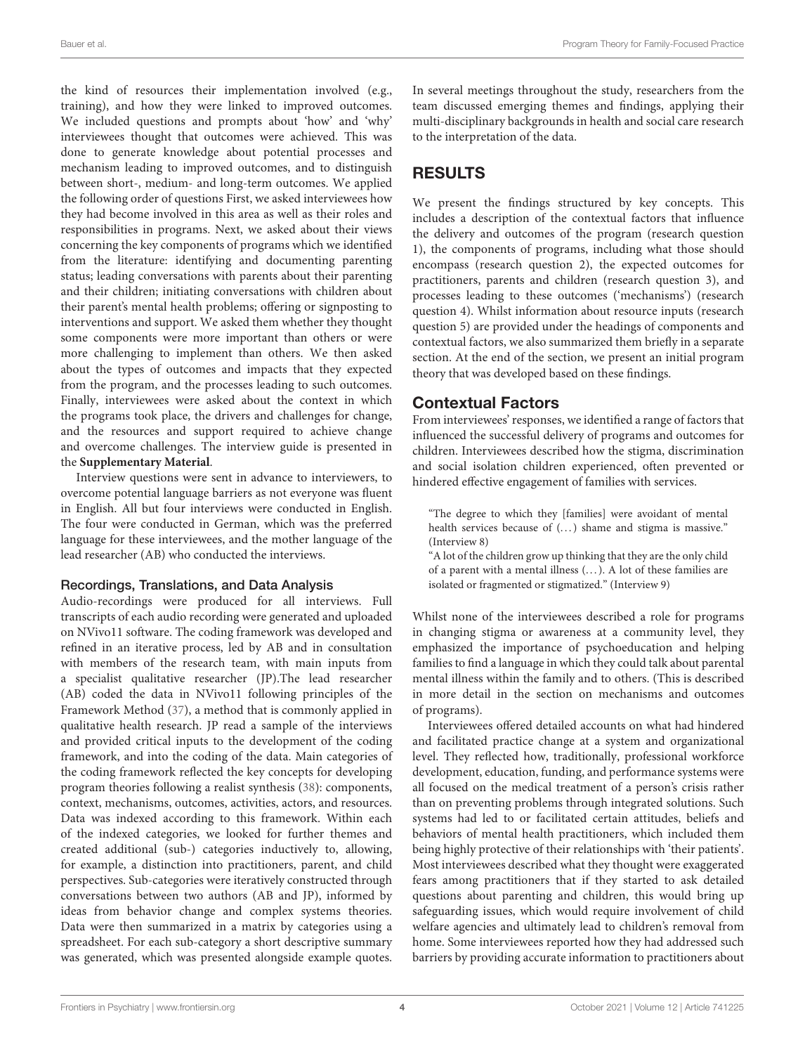the kind of resources their implementation involved (e.g., training), and how they were linked to improved outcomes. We included questions and prompts about 'how' and 'why' interviewees thought that outcomes were achieved. This was done to generate knowledge about potential processes and mechanism leading to improved outcomes, and to distinguish between short-, medium- and long-term outcomes. We applied the following order of questions First, we asked interviewees how they had become involved in this area as well as their roles and responsibilities in programs. Next, we asked about their views concerning the key components of programs which we identified from the literature: identifying and documenting parenting status; leading conversations with parents about their parenting and their children; initiating conversations with children about their parent's mental health problems; offering or signposting to interventions and support. We asked them whether they thought some components were more important than others or were more challenging to implement than others. We then asked about the types of outcomes and impacts that they expected from the program, and the processes leading to such outcomes. Finally, interviewees were asked about the context in which the programs took place, the drivers and challenges for change, and the resources and support required to achieve change and overcome challenges. The interview guide is presented in the **[Supplementary Material](#page-9-0)**.

Interview questions were sent in advance to interviewers, to overcome potential language barriers as not everyone was fluent in English. All but four interviews were conducted in English. The four were conducted in German, which was the preferred language for these interviewees, and the mother language of the lead researcher (AB) who conducted the interviews.

#### Recordings, Translations, and Data Analysis

Audio-recordings were produced for all interviews. Full transcripts of each audio recording were generated and uploaded on NVivo11 software. The coding framework was developed and refined in an iterative process, led by AB and in consultation with members of the research team, with main inputs from a specialist qualitative researcher (JP).The lead researcher (AB) coded the data in NVivo11 following principles of the Framework Method [\(37\)](#page-10-33), a method that is commonly applied in qualitative health research. JP read a sample of the interviews and provided critical inputs to the development of the coding framework, and into the coding of the data. Main categories of the coding framework reflected the key concepts for developing program theories following a realist synthesis [\(38\)](#page-10-34): components, context, mechanisms, outcomes, activities, actors, and resources. Data was indexed according to this framework. Within each of the indexed categories, we looked for further themes and created additional (sub-) categories inductively to, allowing, for example, a distinction into practitioners, parent, and child perspectives. Sub-categories were iteratively constructed through conversations between two authors (AB and JP), informed by ideas from behavior change and complex systems theories. Data were then summarized in a matrix by categories using a spreadsheet. For each sub-category a short descriptive summary was generated, which was presented alongside example quotes. In several meetings throughout the study, researchers from the team discussed emerging themes and findings, applying their multi-disciplinary backgrounds in health and social care research to the interpretation of the data.

# RESULTS

We present the findings structured by key concepts. This includes a description of the contextual factors that influence the delivery and outcomes of the program (research question 1), the components of programs, including what those should encompass (research question 2), the expected outcomes for practitioners, parents and children (research question 3), and processes leading to these outcomes ('mechanisms') (research question 4). Whilst information about resource inputs (research question 5) are provided under the headings of components and contextual factors, we also summarized them briefly in a separate section. At the end of the section, we present an initial program theory that was developed based on these findings.

## Contextual Factors

From interviewees' responses, we identified a range of factors that influenced the successful delivery of programs and outcomes for children. Interviewees described how the stigma, discrimination and social isolation children experienced, often prevented or hindered effective engagement of families with services.

"The degree to which they [families] were avoidant of mental health services because of  $(...)$  shame and stigma is massive." (Interview 8)

"A lot of the children grow up thinking that they are the only child of a parent with a mental illness (. . . ). A lot of these families are isolated or fragmented or stigmatized." (Interview 9)

Whilst none of the interviewees described a role for programs in changing stigma or awareness at a community level, they emphasized the importance of psychoeducation and helping families to find a language in which they could talk about parental mental illness within the family and to others. (This is described in more detail in the section on mechanisms and outcomes of programs).

Interviewees offered detailed accounts on what had hindered and facilitated practice change at a system and organizational level. They reflected how, traditionally, professional workforce development, education, funding, and performance systems were all focused on the medical treatment of a person's crisis rather than on preventing problems through integrated solutions. Such systems had led to or facilitated certain attitudes, beliefs and behaviors of mental health practitioners, which included them being highly protective of their relationships with 'their patients'. Most interviewees described what they thought were exaggerated fears among practitioners that if they started to ask detailed questions about parenting and children, this would bring up safeguarding issues, which would require involvement of child welfare agencies and ultimately lead to children's removal from home. Some interviewees reported how they had addressed such barriers by providing accurate information to practitioners about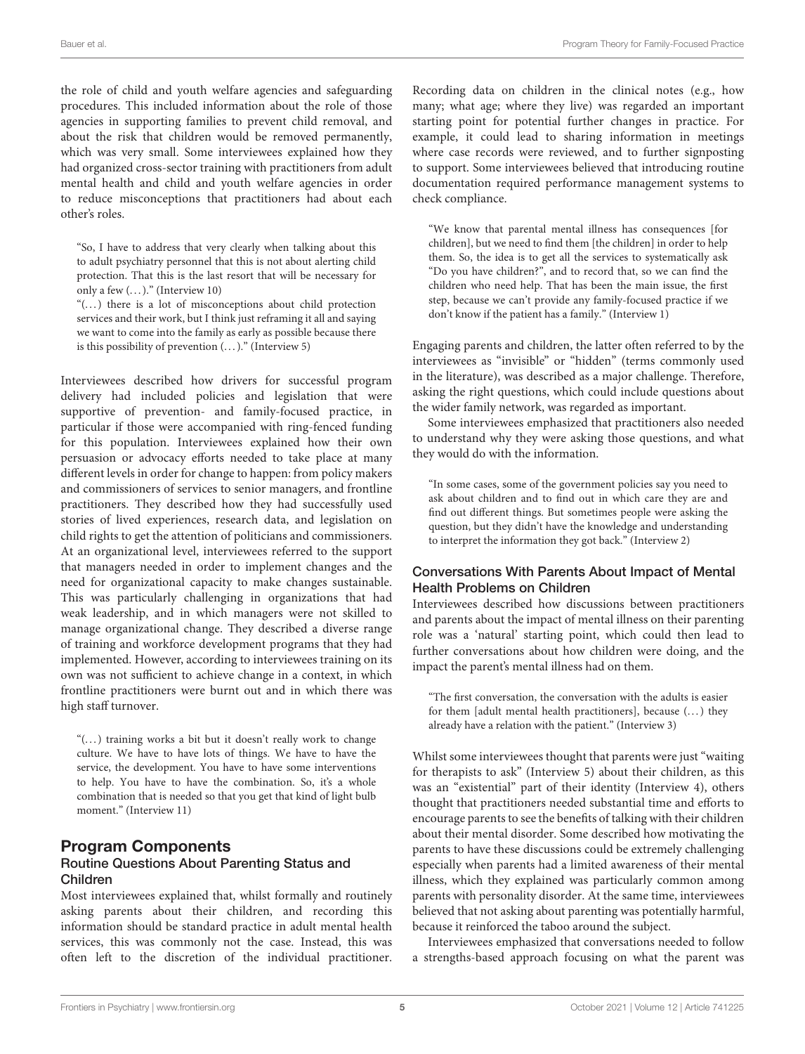the role of child and youth welfare agencies and safeguarding procedures. This included information about the role of those agencies in supporting families to prevent child removal, and about the risk that children would be removed permanently, which was very small. Some interviewees explained how they had organized cross-sector training with practitioners from adult mental health and child and youth welfare agencies in order to reduce misconceptions that practitioners had about each other's roles.

"So, I have to address that very clearly when talking about this to adult psychiatry personnel that this is not about alerting child protection. That this is the last resort that will be necessary for only a few  $(\dots)$ ." (Interview 10)

"(...) there is a lot of misconceptions about child protection services and their work, but I think just reframing it all and saying we want to come into the family as early as possible because there is this possibility of prevention  $(...)$ ." (Interview 5)

Interviewees described how drivers for successful program delivery had included policies and legislation that were supportive of prevention- and family-focused practice, in particular if those were accompanied with ring-fenced funding for this population. Interviewees explained how their own persuasion or advocacy efforts needed to take place at many different levels in order for change to happen: from policy makers and commissioners of services to senior managers, and frontline practitioners. They described how they had successfully used stories of lived experiences, research data, and legislation on child rights to get the attention of politicians and commissioners. At an organizational level, interviewees referred to the support that managers needed in order to implement changes and the need for organizational capacity to make changes sustainable. This was particularly challenging in organizations that had weak leadership, and in which managers were not skilled to manage organizational change. They described a diverse range of training and workforce development programs that they had implemented. However, according to interviewees training on its own was not sufficient to achieve change in a context, in which frontline practitioners were burnt out and in which there was high staff turnover.

" $(...)$  training works a bit but it doesn't really work to change culture. We have to have lots of things. We have to have the service, the development. You have to have some interventions to help. You have to have the combination. So, it's a whole combination that is needed so that you get that kind of light bulb moment." (Interview 11)

#### Program Components Routine Questions About Parenting Status and Children

Most interviewees explained that, whilst formally and routinely asking parents about their children, and recording this information should be standard practice in adult mental health services, this was commonly not the case. Instead, this was often left to the discretion of the individual practitioner. Recording data on children in the clinical notes (e.g., how many; what age; where they live) was regarded an important starting point for potential further changes in practice. For example, it could lead to sharing information in meetings where case records were reviewed, and to further signposting to support. Some interviewees believed that introducing routine documentation required performance management systems to check compliance.

"We know that parental mental illness has consequences [for children], but we need to find them [the children] in order to help them. So, the idea is to get all the services to systematically ask "Do you have children?", and to record that, so we can find the children who need help. That has been the main issue, the first step, because we can't provide any family-focused practice if we don't know if the patient has a family." (Interview 1)

Engaging parents and children, the latter often referred to by the interviewees as "invisible" or "hidden" (terms commonly used in the literature), was described as a major challenge. Therefore, asking the right questions, which could include questions about the wider family network, was regarded as important.

Some interviewees emphasized that practitioners also needed to understand why they were asking those questions, and what they would do with the information.

"In some cases, some of the government policies say you need to ask about children and to find out in which care they are and find out different things. But sometimes people were asking the question, but they didn't have the knowledge and understanding to interpret the information they got back." (Interview 2)

#### Conversations With Parents About Impact of Mental Health Problems on Children

Interviewees described how discussions between practitioners and parents about the impact of mental illness on their parenting role was a 'natural' starting point, which could then lead to further conversations about how children were doing, and the impact the parent's mental illness had on them.

"The first conversation, the conversation with the adults is easier for them [adult mental health practitioners], because (...) they already have a relation with the patient." (Interview 3)

Whilst some interviewees thought that parents were just "waiting for therapists to ask" (Interview 5) about their children, as this was an "existential" part of their identity (Interview 4), others thought that practitioners needed substantial time and efforts to encourage parents to see the benefits of talking with their children about their mental disorder. Some described how motivating the parents to have these discussions could be extremely challenging especially when parents had a limited awareness of their mental illness, which they explained was particularly common among parents with personality disorder. At the same time, interviewees believed that not asking about parenting was potentially harmful, because it reinforced the taboo around the subject.

Interviewees emphasized that conversations needed to follow a strengths-based approach focusing on what the parent was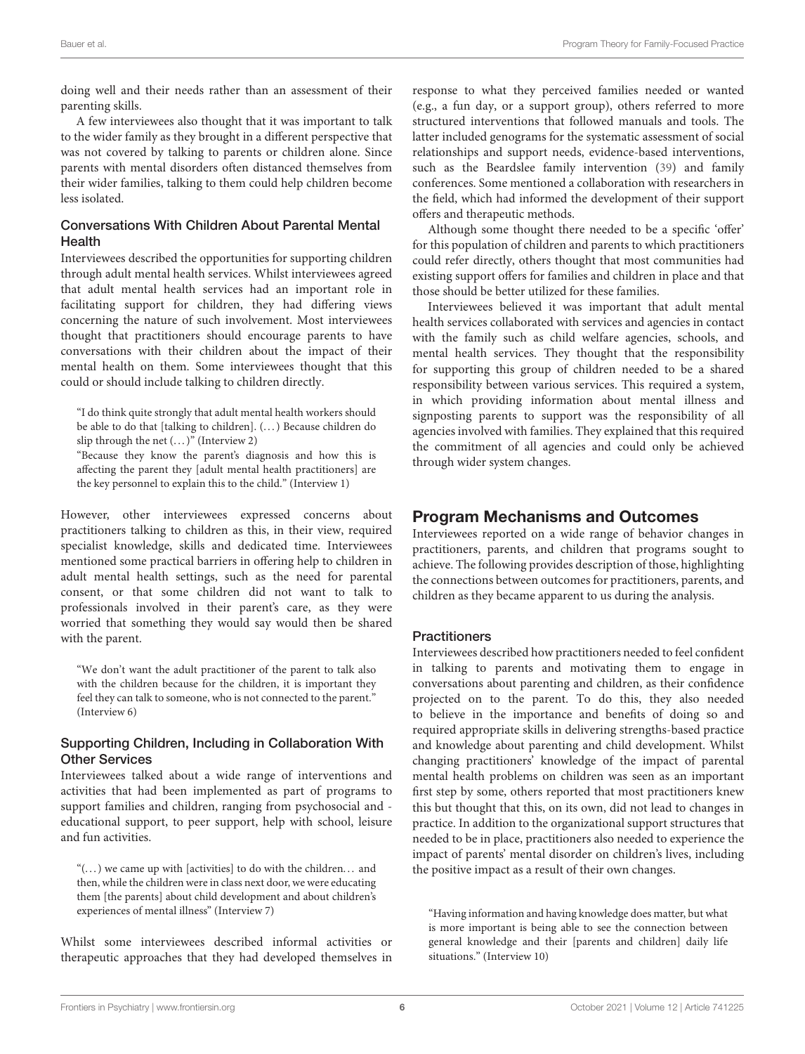doing well and their needs rather than an assessment of their parenting skills.

A few interviewees also thought that it was important to talk to the wider family as they brought in a different perspective that was not covered by talking to parents or children alone. Since parents with mental disorders often distanced themselves from their wider families, talking to them could help children become less isolated.

#### Conversations With Children About Parental Mental Health

Interviewees described the opportunities for supporting children through adult mental health services. Whilst interviewees agreed that adult mental health services had an important role in facilitating support for children, they had differing views concerning the nature of such involvement. Most interviewees thought that practitioners should encourage parents to have conversations with their children about the impact of their mental health on them. Some interviewees thought that this could or should include talking to children directly.

"I do think quite strongly that adult mental health workers should be able to do that [talking to children]. (. . . ) Because children do slip through the net  $(...)$ " (Interview 2)

"Because they know the parent's diagnosis and how this is affecting the parent they [adult mental health practitioners] are the key personnel to explain this to the child." (Interview 1)

However, other interviewees expressed concerns about practitioners talking to children as this, in their view, required specialist knowledge, skills and dedicated time. Interviewees mentioned some practical barriers in offering help to children in adult mental health settings, such as the need for parental consent, or that some children did not want to talk to professionals involved in their parent's care, as they were worried that something they would say would then be shared with the parent.

"We don't want the adult practitioner of the parent to talk also with the children because for the children, it is important they feel they can talk to someone, who is not connected to the parent." (Interview 6)

#### Supporting Children, Including in Collaboration With Other Services

Interviewees talked about a wide range of interventions and activities that had been implemented as part of programs to support families and children, ranging from psychosocial and educational support, to peer support, help with school, leisure and fun activities.

"(. . . ) we came up with [activities] to do with the children. . . and then, while the children were in class next door, we were educating them [the parents] about child development and about children's experiences of mental illness" (Interview 7)

Whilst some interviewees described informal activities or therapeutic approaches that they had developed themselves in response to what they perceived families needed or wanted (e.g., a fun day, or a support group), others referred to more structured interventions that followed manuals and tools. The latter included genograms for the systematic assessment of social relationships and support needs, evidence-based interventions, such as the Beardslee family intervention [\(39\)](#page-10-35) and family conferences. Some mentioned a collaboration with researchers in the field, which had informed the development of their support offers and therapeutic methods.

Although some thought there needed to be a specific 'offer' for this population of children and parents to which practitioners could refer directly, others thought that most communities had existing support offers for families and children in place and that those should be better utilized for these families.

Interviewees believed it was important that adult mental health services collaborated with services and agencies in contact with the family such as child welfare agencies, schools, and mental health services. They thought that the responsibility for supporting this group of children needed to be a shared responsibility between various services. This required a system, in which providing information about mental illness and signposting parents to support was the responsibility of all agencies involved with families. They explained that this required the commitment of all agencies and could only be achieved through wider system changes.

## Program Mechanisms and Outcomes

Interviewees reported on a wide range of behavior changes in practitioners, parents, and children that programs sought to achieve. The following provides description of those, highlighting the connections between outcomes for practitioners, parents, and children as they became apparent to us during the analysis.

#### **Practitioners**

Interviewees described how practitioners needed to feel confident in talking to parents and motivating them to engage in conversations about parenting and children, as their confidence projected on to the parent. To do this, they also needed to believe in the importance and benefits of doing so and required appropriate skills in delivering strengths-based practice and knowledge about parenting and child development. Whilst changing practitioners' knowledge of the impact of parental mental health problems on children was seen as an important first step by some, others reported that most practitioners knew this but thought that this, on its own, did not lead to changes in practice. In addition to the organizational support structures that needed to be in place, practitioners also needed to experience the impact of parents' mental disorder on children's lives, including the positive impact as a result of their own changes.

"Having information and having knowledge does matter, but what is more important is being able to see the connection between general knowledge and their [parents and children] daily life situations." (Interview 10)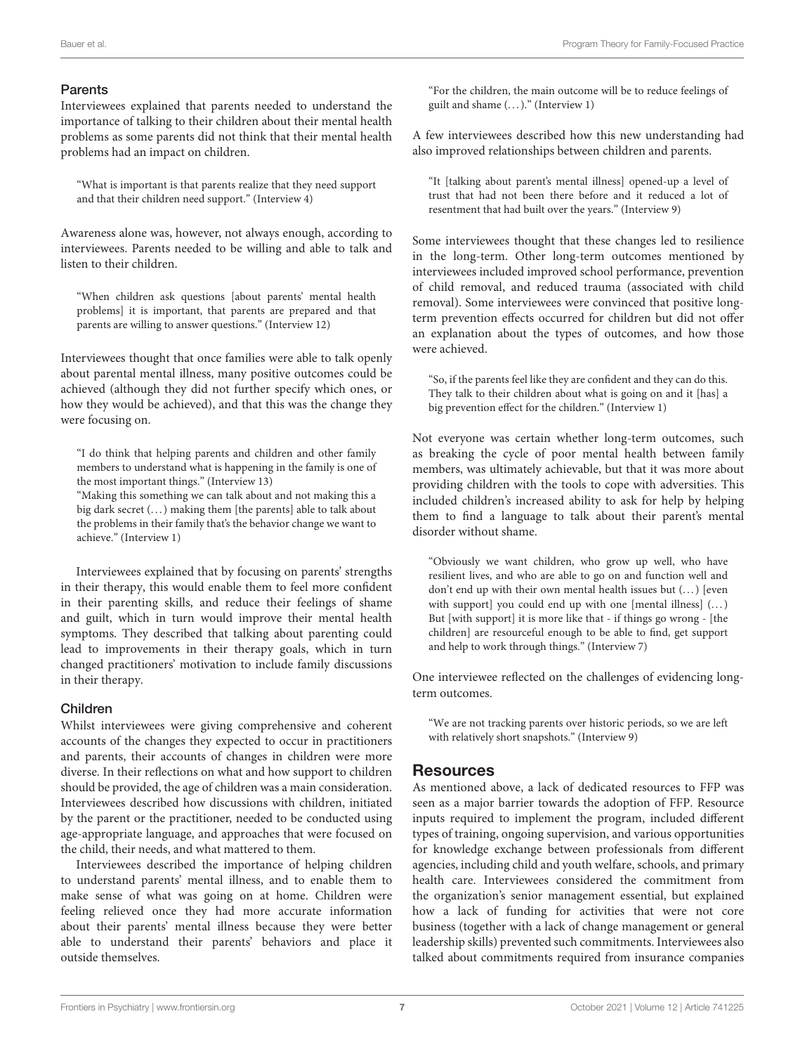#### Parents

Interviewees explained that parents needed to understand the importance of talking to their children about their mental health problems as some parents did not think that their mental health problems had an impact on children.

"What is important is that parents realize that they need support and that their children need support." (Interview 4)

Awareness alone was, however, not always enough, according to interviewees. Parents needed to be willing and able to talk and listen to their children.

"When children ask questions [about parents' mental health problems] it is important, that parents are prepared and that parents are willing to answer questions." (Interview 12)

Interviewees thought that once families were able to talk openly about parental mental illness, many positive outcomes could be achieved (although they did not further specify which ones, or how they would be achieved), and that this was the change they were focusing on.

"I do think that helping parents and children and other family members to understand what is happening in the family is one of the most important things." (Interview 13)

"Making this something we can talk about and not making this a big dark secret (...) making them [the parents] able to talk about the problems in their family that's the behavior change we want to achieve." (Interview 1)

Interviewees explained that by focusing on parents' strengths in their therapy, this would enable them to feel more confident in their parenting skills, and reduce their feelings of shame and guilt, which in turn would improve their mental health symptoms. They described that talking about parenting could lead to improvements in their therapy goals, which in turn changed practitioners' motivation to include family discussions in their therapy.

#### Children

Whilst interviewees were giving comprehensive and coherent accounts of the changes they expected to occur in practitioners and parents, their accounts of changes in children were more diverse. In their reflections on what and how support to children should be provided, the age of children was a main consideration. Interviewees described how discussions with children, initiated by the parent or the practitioner, needed to be conducted using age-appropriate language, and approaches that were focused on the child, their needs, and what mattered to them.

Interviewees described the importance of helping children to understand parents' mental illness, and to enable them to make sense of what was going on at home. Children were feeling relieved once they had more accurate information about their parents' mental illness because they were better able to understand their parents' behaviors and place it outside themselves.

"For the children, the main outcome will be to reduce feelings of guilt and shame (. . . )." (Interview 1)

A few interviewees described how this new understanding had also improved relationships between children and parents.

"It [talking about parent's mental illness] opened-up a level of trust that had not been there before and it reduced a lot of resentment that had built over the years." (Interview 9)

Some interviewees thought that these changes led to resilience in the long-term. Other long-term outcomes mentioned by interviewees included improved school performance, prevention of child removal, and reduced trauma (associated with child removal). Some interviewees were convinced that positive longterm prevention effects occurred for children but did not offer an explanation about the types of outcomes, and how those were achieved.

"So, if the parents feel like they are confident and they can do this. They talk to their children about what is going on and it [has] a big prevention effect for the children." (Interview 1)

Not everyone was certain whether long-term outcomes, such as breaking the cycle of poor mental health between family members, was ultimately achievable, but that it was more about providing children with the tools to cope with adversities. This included children's increased ability to ask for help by helping them to find a language to talk about their parent's mental disorder without shame.

"Obviously we want children, who grow up well, who have resilient lives, and who are able to go on and function well and don't end up with their own mental health issues but  $(...)$  [even with support] you could end up with one [mental illness]  $(...)$ But [with support] it is more like that - if things go wrong - [the children] are resourceful enough to be able to find, get support and help to work through things." (Interview 7)

One interviewee reflected on the challenges of evidencing longterm outcomes.

"We are not tracking parents over historic periods, so we are left with relatively short snapshots." (Interview 9)

## **Resources**

As mentioned above, a lack of dedicated resources to FFP was seen as a major barrier towards the adoption of FFP. Resource inputs required to implement the program, included different types of training, ongoing supervision, and various opportunities for knowledge exchange between professionals from different agencies, including child and youth welfare, schools, and primary health care. Interviewees considered the commitment from the organization's senior management essential, but explained how a lack of funding for activities that were not core business (together with a lack of change management or general leadership skills) prevented such commitments. Interviewees also talked about commitments required from insurance companies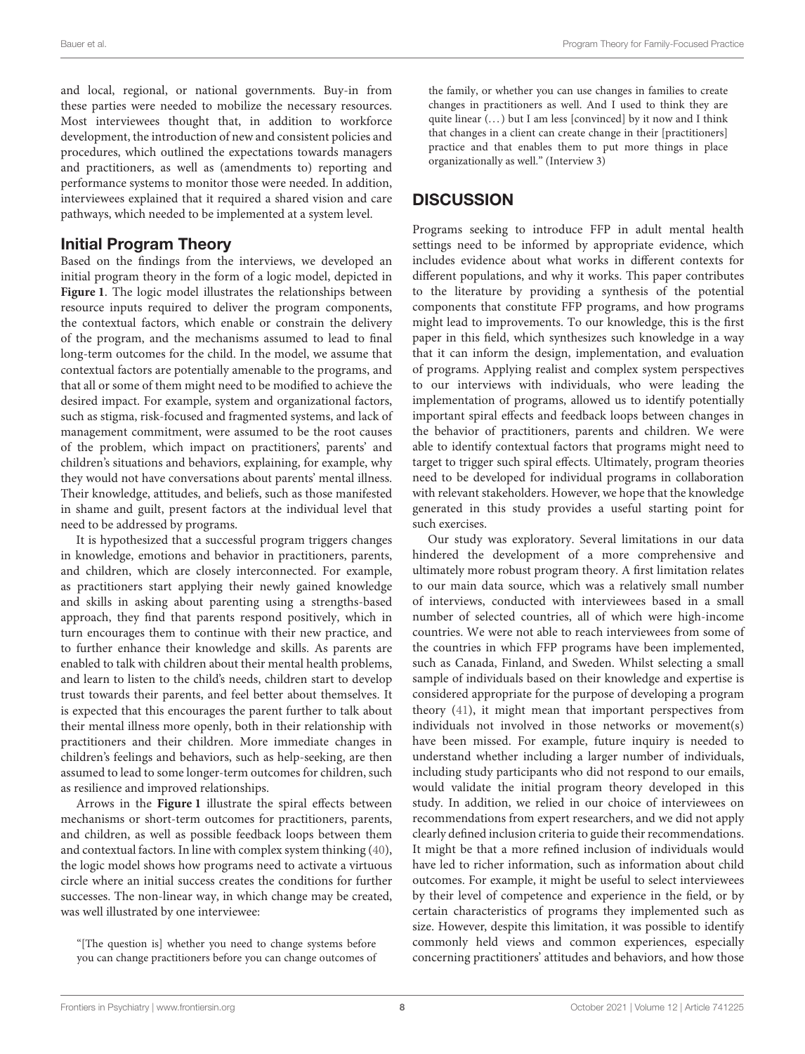and local, regional, or national governments. Buy-in from these parties were needed to mobilize the necessary resources. Most interviewees thought that, in addition to workforce development, the introduction of new and consistent policies and procedures, which outlined the expectations towards managers and practitioners, as well as (amendments to) reporting and performance systems to monitor those were needed. In addition, interviewees explained that it required a shared vision and care pathways, which needed to be implemented at a system level.

## Initial Program Theory

Based on the findings from the interviews, we developed an initial program theory in the form of a logic model, depicted in **[Figure 1](#page-8-0)**. The logic model illustrates the relationships between resource inputs required to deliver the program components, the contextual factors, which enable or constrain the delivery of the program, and the mechanisms assumed to lead to final long-term outcomes for the child. In the model, we assume that contextual factors are potentially amenable to the programs, and that all or some of them might need to be modified to achieve the desired impact. For example, system and organizational factors, such as stigma, risk-focused and fragmented systems, and lack of management commitment, were assumed to be the root causes of the problem, which impact on practitioners', parents' and children's situations and behaviors, explaining, for example, why they would not have conversations about parents' mental illness. Their knowledge, attitudes, and beliefs, such as those manifested in shame and guilt, present factors at the individual level that need to be addressed by programs.

It is hypothesized that a successful program triggers changes in knowledge, emotions and behavior in practitioners, parents, and children, which are closely interconnected. For example, as practitioners start applying their newly gained knowledge and skills in asking about parenting using a strengths-based approach, they find that parents respond positively, which in turn encourages them to continue with their new practice, and to further enhance their knowledge and skills. As parents are enabled to talk with children about their mental health problems, and learn to listen to the child's needs, children start to develop trust towards their parents, and feel better about themselves. It is expected that this encourages the parent further to talk about their mental illness more openly, both in their relationship with practitioners and their children. More immediate changes in children's feelings and behaviors, such as help-seeking, are then assumed to lead to some longer-term outcomes for children, such as resilience and improved relationships.

Arrows in the **[Figure 1](#page-8-0)** illustrate the spiral effects between mechanisms or short-term outcomes for practitioners, parents, and children, as well as possible feedback loops between them and contextual factors. In line with complex system thinking [\(40\)](#page-11-0), the logic model shows how programs need to activate a virtuous circle where an initial success creates the conditions for further successes. The non-linear way, in which change may be created, was well illustrated by one interviewee:

"[The question is] whether you need to change systems before you can change practitioners before you can change outcomes of the family, or whether you can use changes in families to create changes in practitioners as well. And I used to think they are quite linear (...) but I am less [convinced] by it now and I think that changes in a client can create change in their [practitioners] practice and that enables them to put more things in place organizationally as well." (Interview 3)

## **DISCUSSION**

Programs seeking to introduce FFP in adult mental health settings need to be informed by appropriate evidence, which includes evidence about what works in different contexts for different populations, and why it works. This paper contributes to the literature by providing a synthesis of the potential components that constitute FFP programs, and how programs might lead to improvements. To our knowledge, this is the first paper in this field, which synthesizes such knowledge in a way that it can inform the design, implementation, and evaluation of programs. Applying realist and complex system perspectives to our interviews with individuals, who were leading the implementation of programs, allowed us to identify potentially important spiral effects and feedback loops between changes in the behavior of practitioners, parents and children. We were able to identify contextual factors that programs might need to target to trigger such spiral effects. Ultimately, program theories need to be developed for individual programs in collaboration with relevant stakeholders. However, we hope that the knowledge generated in this study provides a useful starting point for such exercises.

Our study was exploratory. Several limitations in our data hindered the development of a more comprehensive and ultimately more robust program theory. A first limitation relates to our main data source, which was a relatively small number of interviews, conducted with interviewees based in a small number of selected countries, all of which were high-income countries. We were not able to reach interviewees from some of the countries in which FFP programs have been implemented, such as Canada, Finland, and Sweden. Whilst selecting a small sample of individuals based on their knowledge and expertise is considered appropriate for the purpose of developing a program theory [\(41\)](#page-11-1), it might mean that important perspectives from individuals not involved in those networks or movement(s) have been missed. For example, future inquiry is needed to understand whether including a larger number of individuals, including study participants who did not respond to our emails, would validate the initial program theory developed in this study. In addition, we relied in our choice of interviewees on recommendations from expert researchers, and we did not apply clearly defined inclusion criteria to guide their recommendations. It might be that a more refined inclusion of individuals would have led to richer information, such as information about child outcomes. For example, it might be useful to select interviewees by their level of competence and experience in the field, or by certain characteristics of programs they implemented such as size. However, despite this limitation, it was possible to identify commonly held views and common experiences, especially concerning practitioners' attitudes and behaviors, and how those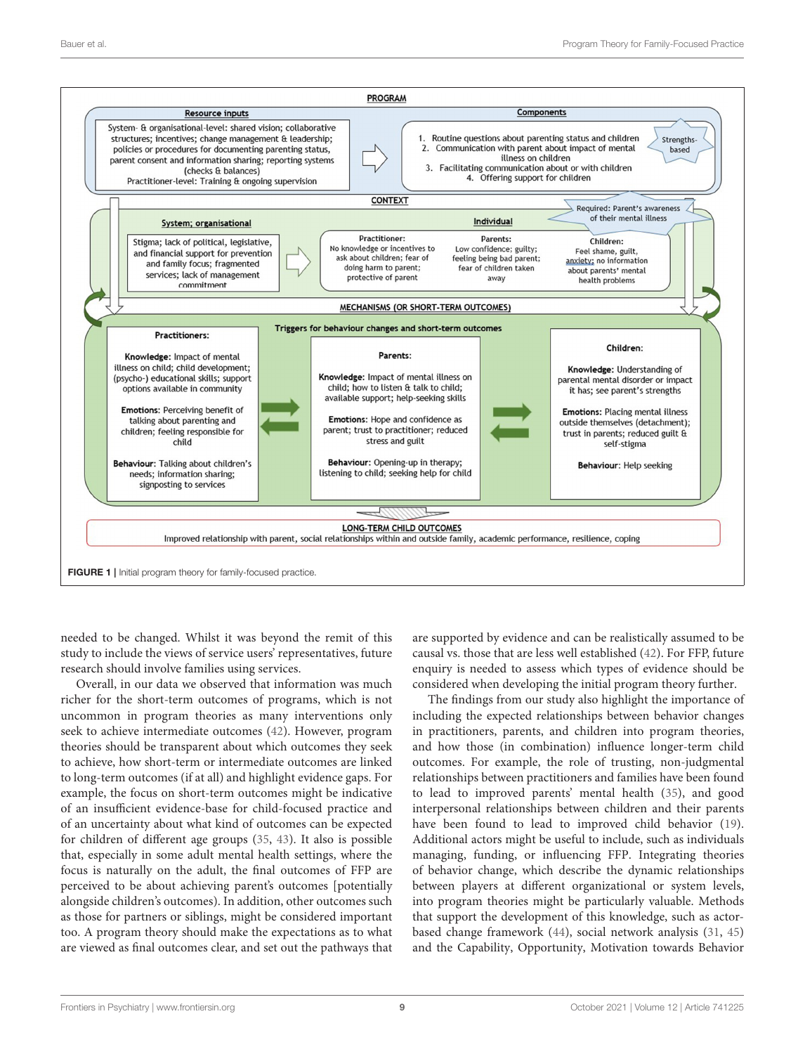

<span id="page-8-0"></span>needed to be changed. Whilst it was beyond the remit of this study to include the views of service users' representatives, future research should involve families using services.

Overall, in our data we observed that information was much richer for the short-term outcomes of programs, which is not uncommon in program theories as many interventions only seek to achieve intermediate outcomes [\(42\)](#page-11-2). However, program theories should be transparent about which outcomes they seek to achieve, how short-term or intermediate outcomes are linked to long-term outcomes (if at all) and highlight evidence gaps. For example, the focus on short-term outcomes might be indicative of an insufficient evidence-base for child-focused practice and of an uncertainty about what kind of outcomes can be expected for children of different age groups [\(35,](#page-10-31) [43\)](#page-11-3). It also is possible that, especially in some adult mental health settings, where the focus is naturally on the adult, the final outcomes of FFP are perceived to be about achieving parent's outcomes [potentially alongside children's outcomes). In addition, other outcomes such as those for partners or siblings, might be considered important too. A program theory should make the expectations as to what are viewed as final outcomes clear, and set out the pathways that are supported by evidence and can be realistically assumed to be causal vs. those that are less well established [\(42\)](#page-11-2). For FFP, future enquiry is needed to assess which types of evidence should be considered when developing the initial program theory further.

The findings from our study also highlight the importance of including the expected relationships between behavior changes in practitioners, parents, and children into program theories, and how those (in combination) influence longer-term child outcomes. For example, the role of trusting, non-judgmental relationships between practitioners and families have been found to lead to improved parents' mental health [\(35\)](#page-10-31), and good interpersonal relationships between children and their parents have been found to lead to improved child behavior [\(19\)](#page-10-16). Additional actors might be useful to include, such as individuals managing, funding, or influencing FFP. Integrating theories of behavior change, which describe the dynamic relationships between players at different organizational or system levels, into program theories might be particularly valuable. Methods that support the development of this knowledge, such as actorbased change framework [\(44\)](#page-11-4), social network analysis [\(31,](#page-10-25) [45\)](#page-11-5) and the Capability, Opportunity, Motivation towards Behavior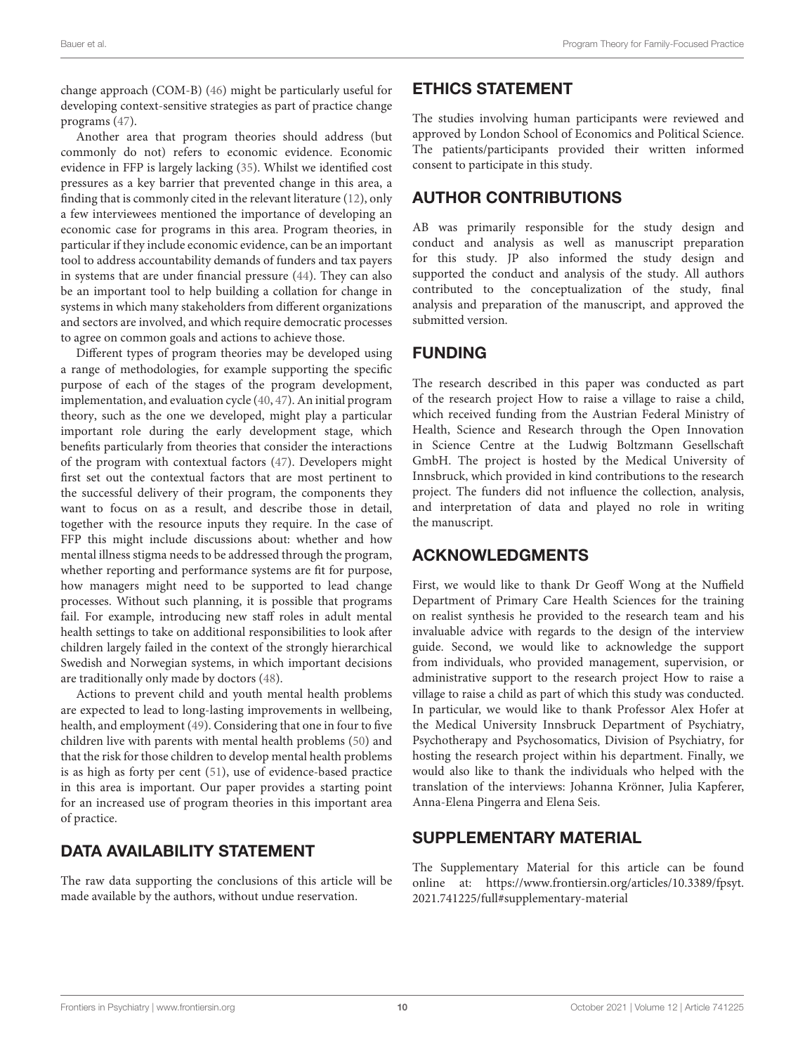change approach (COM-B) [\(46\)](#page-11-6) might be particularly useful for developing context-sensitive strategies as part of practice change programs [\(47\)](#page-11-7).

Another area that program theories should address (but commonly do not) refers to economic evidence. Economic evidence in FFP is largely lacking [\(35\)](#page-10-31). Whilst we identified cost pressures as a key barrier that prevented change in this area, a finding that is commonly cited in the relevant literature [\(12\)](#page-10-9), only a few interviewees mentioned the importance of developing an economic case for programs in this area. Program theories, in particular if they include economic evidence, can be an important tool to address accountability demands of funders and tax payers in systems that are under financial pressure [\(44\)](#page-11-4). They can also be an important tool to help building a collation for change in systems in which many stakeholders from different organizations and sectors are involved, and which require democratic processes to agree on common goals and actions to achieve those.

Different types of program theories may be developed using a range of methodologies, for example supporting the specific purpose of each of the stages of the program development, implementation, and evaluation cycle [\(40,](#page-11-0) [47\)](#page-11-7). An initial program theory, such as the one we developed, might play a particular important role during the early development stage, which benefits particularly from theories that consider the interactions of the program with contextual factors [\(47\)](#page-11-7). Developers might first set out the contextual factors that are most pertinent to the successful delivery of their program, the components they want to focus on as a result, and describe those in detail, together with the resource inputs they require. In the case of FFP this might include discussions about: whether and how mental illness stigma needs to be addressed through the program, whether reporting and performance systems are fit for purpose, how managers might need to be supported to lead change processes. Without such planning, it is possible that programs fail. For example, introducing new staff roles in adult mental health settings to take on additional responsibilities to look after children largely failed in the context of the strongly hierarchical Swedish and Norwegian systems, in which important decisions are traditionally only made by doctors [\(48\)](#page-11-8).

Actions to prevent child and youth mental health problems are expected to lead to long-lasting improvements in wellbeing, health, and employment [\(49\)](#page-11-9). Considering that one in four to five children live with parents with mental health problems [\(50\)](#page-11-10) and that the risk for those children to develop mental health problems is as high as forty per cent [\(51\)](#page-11-11), use of evidence-based practice in this area is important. Our paper provides a starting point for an increased use of program theories in this important area of practice.

## DATA AVAILABILITY STATEMENT

The raw data supporting the conclusions of this article will be made available by the authors, without undue reservation.

## ETHICS STATEMENT

The studies involving human participants were reviewed and approved by London School of Economics and Political Science. The patients/participants provided their written informed consent to participate in this study.

## AUTHOR CONTRIBUTIONS

AB was primarily responsible for the study design and conduct and analysis as well as manuscript preparation for this study. JP also informed the study design and supported the conduct and analysis of the study. All authors contributed to the conceptualization of the study, final analysis and preparation of the manuscript, and approved the submitted version.

## FUNDING

The research described in this paper was conducted as part of the research project How to raise a village to raise a child, which received funding from the Austrian Federal Ministry of Health, Science and Research through the Open Innovation in Science Centre at the Ludwig Boltzmann Gesellschaft GmbH. The project is hosted by the Medical University of Innsbruck, which provided in kind contributions to the research project. The funders did not influence the collection, analysis, and interpretation of data and played no role in writing the manuscript.

## ACKNOWLEDGMENTS

First, we would like to thank Dr Geoff Wong at the Nuffield Department of Primary Care Health Sciences for the training on realist synthesis he provided to the research team and his invaluable advice with regards to the design of the interview guide. Second, we would like to acknowledge the support from individuals, who provided management, supervision, or administrative support to the research project How to raise a village to raise a child as part of which this study was conducted. In particular, we would like to thank Professor Alex Hofer at the Medical University Innsbruck Department of Psychiatry, Psychotherapy and Psychosomatics, Division of Psychiatry, for hosting the research project within his department. Finally, we would also like to thank the individuals who helped with the translation of the interviews: Johanna Krönner, Julia Kapferer, Anna-Elena Pingerra and Elena Seis.

## SUPPLEMENTARY MATERIAL

<span id="page-9-0"></span>The Supplementary Material for this article can be found [online at: https://www.frontiersin.org/articles/10.3389/fpsyt.](https://www.frontiersin.org/articles/10.3389/fpsyt.2021.741225/full#supplementary-material) 2021.741225/full#supplementary-material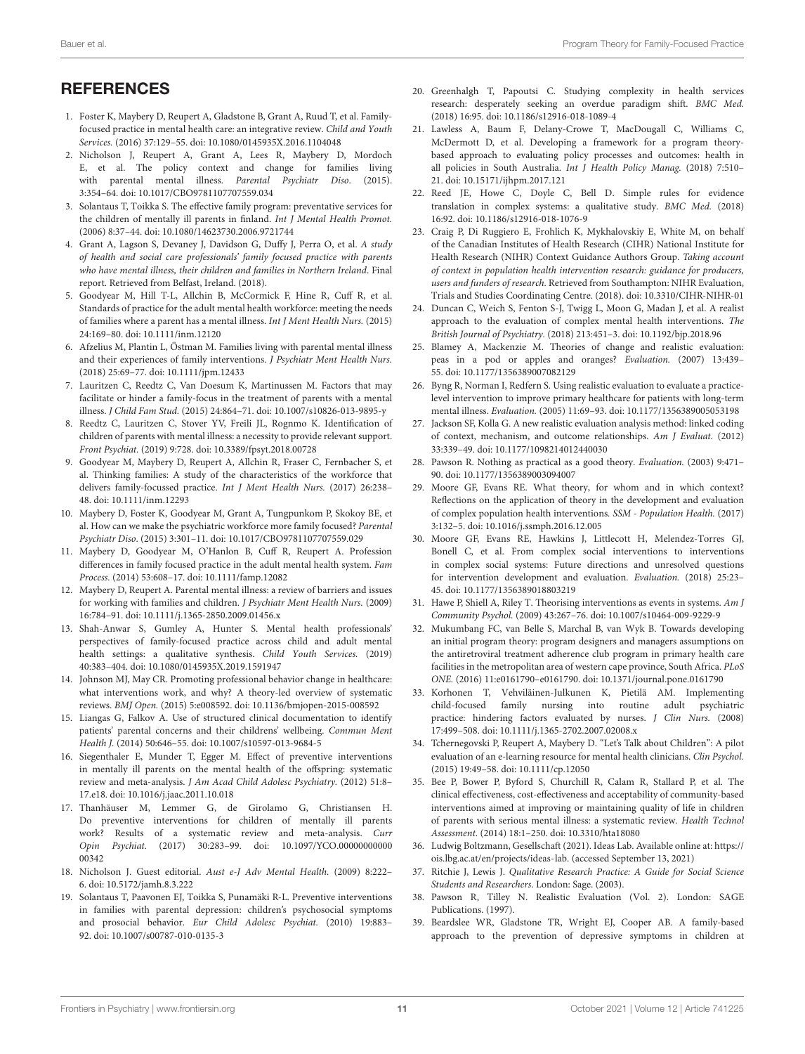## **REFERENCES**

- <span id="page-10-0"></span>1. Foster K, Maybery D, Reupert A, Gladstone B, Grant A, Ruud T, et al. Familyfocused practice in mental health care: an integrative review. Child and Youth Services. (2016) 37:129–55. doi: [10.1080/0145935X.2016.1104048](https://doi.org/10.1080/0145935X.2016.1104048)
- <span id="page-10-1"></span>2. Nicholson J, Reupert A, Grant A, Lees R, Maybery D, Mordoch E, et al. The policy context and change for families living with parental mental illness. *Parental Psychiatr Diso.* (2015). 3:354–64. doi: [10.1017/CBO9781107707559.034](https://doi.org/10.1017/CBO9781107707559.034)
- <span id="page-10-2"></span>3. Solantaus T, Toikka S. The effective family program: preventative services for the children of mentally ill parents in finland. Int J Mental Health Promot. (2006) 8:37–44. doi: [10.1080/14623730.2006.9721744](https://doi.org/10.1080/14623730.2006.9721744)
- <span id="page-10-3"></span>4. Grant A, Lagson S, Devaney J, Davidson G, Duffy J, Perra O, et al. A study of health and social care professionals' family focused practice with parents who have mental illness, their children and families in Northern Ireland. Final report. Retrieved from Belfast, Ireland. (2018).
- <span id="page-10-4"></span>5. Goodyear M, Hill T-L, Allchin B, McCormick F, Hine R, Cuff R, et al. Standards of practice for the adult mental health workforce: meeting the needs of families where a parent has a mental illness. Int J Ment Health Nurs. (2015) 24:169–80. doi: [10.1111/inm.12120](https://doi.org/10.1111/inm.12120)
- <span id="page-10-5"></span>6. Afzelius M, Plantin L, Östman M. Families living with parental mental illness and their experiences of family interventions. J Psychiatr Ment Health Nurs. (2018) 25:69–77. doi: [10.1111/jpm.12433](https://doi.org/10.1111/jpm.12433)
- <span id="page-10-28"></span>7. Lauritzen C, Reedtz C, Van Doesum K, Martinussen M. Factors that may facilitate or hinder a family-focus in the treatment of parents with a mental illness. J Child Fam Stud. (2015) 24:864–71. doi: [10.1007/s10826-013-9895-y](https://doi.org/10.1007/s10826-013-9895-y)
- <span id="page-10-6"></span>8. Reedtz C, Lauritzen C, Stover YV, Freili JL, Rognmo K. Identification of children of parents with mental illness: a necessity to provide relevant support. Front Psychiat. (2019) 9:728. doi: [10.3389/fpsyt.2018.00728](https://doi.org/10.3389/fpsyt.2018.00728)
- <span id="page-10-7"></span>9. Goodyear M, Maybery D, Reupert A, Allchin R, Fraser C, Fernbacher S, et al. Thinking families: A study of the characteristics of the workforce that delivers family-focussed practice. Int J Ment Health Nurs. (2017) 26:238– 48. doi: [10.1111/inm.12293](https://doi.org/10.1111/inm.12293)
- 10. Maybery D, Foster K, Goodyear M, Grant A, Tungpunkom P, Skokoy BE, et al. How can we make the psychiatric workforce more family focused? Parental Psychiatr Diso. (2015) 3:301–11. doi: [10.1017/CBO9781107707559.029](https://doi.org/10.1017/CBO9781107707559.029)
- <span id="page-10-8"></span>11. Maybery D, Goodyear M, O'Hanlon B, Cuff R, Reupert A. Profession differences in family focused practice in the adult mental health system. Fam Process. (2014) 53:608–17. doi: [10.1111/famp.12082](https://doi.org/10.1111/famp.12082)
- <span id="page-10-9"></span>12. Maybery D, Reupert A. Parental mental illness: a review of barriers and issues for working with families and children. J Psychiatr Ment Health Nurs. (2009) 16:784–91. doi: [10.1111/j.1365-2850.2009.01456.x](https://doi.org/10.1111/j.1365-2850.2009.01456.x)
- <span id="page-10-10"></span>13. Shah-Anwar S, Gumley A, Hunter S. Mental health professionals' perspectives of family-focused practice across child and adult mental health settings: a qualitative synthesis. Child Youth Services. (2019) 40:383–404. doi: [10.1080/0145935X.2019.1591947](https://doi.org/10.1080/0145935X.2019.1591947)
- <span id="page-10-11"></span>14. Johnson MJ, May CR. Promoting professional behavior change in healthcare: what interventions work, and why? A theory-led overview of systematic reviews. BMJ Open. (2015) 5:e008592. doi: [10.1136/bmjopen-2015-008592](https://doi.org/10.1136/bmjopen-2015-008592)
- <span id="page-10-12"></span>15. Liangas G, Falkov A. Use of structured clinical documentation to identify patients' parental concerns and their childrens' wellbeing. Commun Ment Health J. (2014) 50:646–55. doi: [10.1007/s10597-013-9684-5](https://doi.org/10.1007/s10597-013-9684-5)
- <span id="page-10-13"></span>16. Siegenthaler E, Munder T, Egger M. Effect of preventive interventions in mentally ill parents on the mental health of the offspring: systematic review and meta-analysis. J Am Acad Child Adolesc Psychiatry. (2012) 51:8– 17.e18. doi: [10.1016/j.jaac.2011.10.018](https://doi.org/10.1016/j.jaac.2011.10.018)
- <span id="page-10-14"></span>17. Thanhäuser M, Lemmer G, de Girolamo G, Christiansen H. Do preventive interventions for children of mentally ill parents work? Results of a systematic review and meta-analysis. Curr Opin Psychiat[. \(2017\) 30:283–99. doi: 10.1097/YCO.00000000000](https://doi.org/10.1097/YCO.0000000000000342) 00342
- <span id="page-10-15"></span>18. Nicholson J. Guest editorial. Aust e-J Adv Mental Health. (2009) 8:222– 6. doi: [10.5172/jamh.8.3.222](https://doi.org/10.5172/jamh.8.3.222)
- <span id="page-10-16"></span>19. Solantaus T, Paavonen EJ, Toikka S, Punamäki R-L. Preventive interventions in families with parental depression: children's psychosocial symptoms and prosocial behavior. Eur Child Adolesc Psychiat. (2010) 19:883– 92. doi: [10.1007/s00787-010-0135-3](https://doi.org/10.1007/s00787-010-0135-3)
- <span id="page-10-17"></span>20. Greenhalgh T, Papoutsi C. Studying complexity in health services research: desperately seeking an overdue paradigm shift. BMC Med. (2018) 16:95. doi: [10.1186/s12916-018-1089-4](https://doi.org/10.1186/s12916-018-1089-4)
- 21. Lawless A, Baum F, Delany-Crowe T, MacDougall C, Williams C, McDermott D, et al. Developing a framework for a program theorybased approach to evaluating policy processes and outcomes: health in all policies in South Australia. Int J Health Policy Manag. (2018) 7:510– 21. doi: [10.15171/ijhpm.2017.121](https://doi.org/10.15171/ijhpm.2017.121)
- <span id="page-10-18"></span>22. Reed JE, Howe C, Doyle C, Bell D. Simple rules for evidence translation in complex systems: a qualitative study. BMC Med. (2018) 16:92. doi: [10.1186/s12916-018-1076-9](https://doi.org/10.1186/s12916-018-1076-9)
- <span id="page-10-19"></span>23. Craig P, Di Ruggiero E, Frohlich K, Mykhalovskiy E, White M, on behalf of the Canadian Institutes of Health Research (CIHR) National Institute for Health Research (NIHR) Context Guidance Authors Group. Taking account of context in population health intervention research: guidance for producers, users and funders of research. Retrieved from Southampton: NIHR Evaluation, Trials and Studies Coordinating Centre. (2018). doi: [10.3310/CIHR-NIHR-01](https://doi.org/10.3310/CIHR-NIHR-01)
- <span id="page-10-20"></span>24. Duncan C, Weich S, Fenton S-J, Twigg L, Moon G, Madan J, et al. A realist approach to the evaluation of complex mental health interventions. The British Journal of Psychiatry. (2018) 213:451–3. doi: [10.1192/bjp.2018.96](https://doi.org/10.1192/bjp.2018.96)
- <span id="page-10-21"></span>25. Blamey A, Mackenzie M. Theories of change and realistic evaluation: peas in a pod or apples and oranges? Evaluation. (2007) 13:439– 55. doi: [10.1177/1356389007082129](https://doi.org/10.1177/1356389007082129)
- 26. Byng R, Norman I, Redfern S. Using realistic evaluation to evaluate a practicelevel intervention to improve primary healthcare for patients with long-term mental illness. Evaluation. (2005) 11:69–93. doi: [10.1177/1356389005053198](https://doi.org/10.1177/1356389005053198)
- <span id="page-10-26"></span>27. Jackson SF, Kolla G. A new realistic evaluation analysis method: linked coding of context, mechanism, and outcome relationships. Am J Evaluat. (2012) 33:339–49. doi: [10.1177/1098214012440030](https://doi.org/10.1177/1098214012440030)
- <span id="page-10-22"></span>28. Pawson R. Nothing as practical as a good theory. Evaluation. (2003) 9:471– 90. doi: [10.1177/1356389003094007](https://doi.org/10.1177/1356389003094007)
- <span id="page-10-23"></span>29. Moore GF, Evans RE. What theory, for whom and in which context? Reflections on the application of theory in the development and evaluation of complex population health interventions. SSM - Population Health. (2017) 3:132–5. doi: [10.1016/j.ssmph.2016.12.005](https://doi.org/10.1016/j.ssmph.2016.12.005)
- <span id="page-10-24"></span>30. Moore GF, Evans RE, Hawkins J, Littlecott H, Melendez-Torres GJ, Bonell C, et al. From complex social interventions to interventions in complex social systems: Future directions and unresolved questions for intervention development and evaluation. Evaluation. (2018) 25:23– 45. doi: [10.1177/1356389018803219](https://doi.org/10.1177/1356389018803219)
- <span id="page-10-25"></span>31. Hawe P, Shiell A, Riley T. Theorising interventions as events in systems. Am J Community Psychol. (2009) 43:267–76. doi: [10.1007/s10464-009-9229-9](https://doi.org/10.1007/s10464-009-9229-9)
- <span id="page-10-27"></span>32. Mukumbang FC, van Belle S, Marchal B, van Wyk B. Towards developing an initial program theory: program designers and managers assumptions on the antiretroviral treatment adherence club program in primary health care facilities in the metropolitan area of western cape province, South Africa. PLoS ONE. (2016) 11:e0161790–e0161790. doi: [10.1371/journal.pone.0161790](https://doi.org/10.1371/journal.pone.0161790)
- <span id="page-10-29"></span>33. Korhonen T, Vehviläinen-Julkunen K, Pietilä AM. Implementing child-focused family nursing into routine adult psychiatric practice: hindering factors evaluated by nurses. J Clin Nurs. (2008) 17:499–508. doi: [10.1111/j.1365-2702.2007.02008.x](https://doi.org/10.1111/j.1365-2702.2007.02008.x)
- <span id="page-10-30"></span>34. Tchernegovski P, Reupert A, Maybery D. "Let's Talk about Children": A pilot evaluation of an e-learning resource for mental health clinicians. Clin Psychol. (2015) 19:49–58. doi: [10.1111/cp.12050](https://doi.org/10.1111/cp.12050)
- <span id="page-10-31"></span>35. Bee P, Bower P, Byford S, Churchill R, Calam R, Stallard P, et al. The clinical effectiveness, cost-effectiveness and acceptability of community-based interventions aimed at improving or maintaining quality of life in children of parents with serious mental illness: a systematic review. Health Technol Assessment. (2014) 18:1–250. doi: [10.3310/hta18080](https://doi.org/10.3310/hta18080)
- <span id="page-10-32"></span>36. Ludwig Boltzmann, Gesellschaft (2021). Ideas Lab. Available online at: [https://](https://ois.lbg.ac.at/en/projects/ideas-lab) [ois.lbg.ac.at/en/projects/ideas-lab.](https://ois.lbg.ac.at/en/projects/ideas-lab) (accessed September 13, 2021)
- <span id="page-10-33"></span>37. Ritchie J, Lewis J. Qualitative Research Practice: A Guide for Social Science Students and Researchers. London: Sage. (2003).
- <span id="page-10-34"></span>38. Pawson R, Tilley N. Realistic Evaluation (Vol. 2). London: SAGE Publications. (1997).
- <span id="page-10-35"></span>39. Beardslee WR, Gladstone TR, Wright EJ, Cooper AB. A family-based approach to the prevention of depressive symptoms in children at